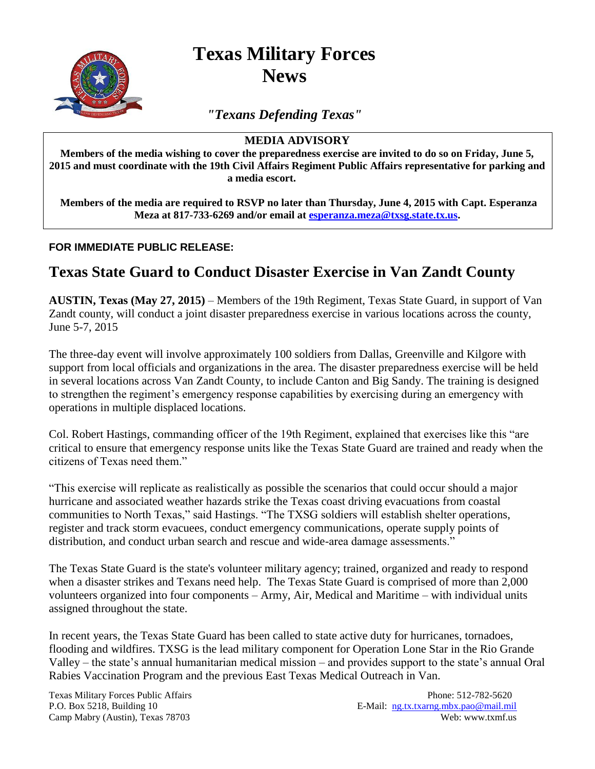**Texas Military Forces News**

*"Texans Defending Texas"*

## **MEDIA ADVISORY**

**Members of the media wishing to cover the preparedness exercise are invited to do so on Friday, June 5, 2015 and must coordinate with the 19th Civil Affairs Regiment Public Affairs representative for parking and a media escort.** 

**Members of the media are required to RSVP no later than Thursday, June 4, 2015 with Capt. Esperanza Meza at 817-733-6269 and/or email at [esperanza.meza@txsg.state.tx.us.](mailto:esperanza.meza@txsg.state.tx.us)**

## **FOR IMMEDIATE PUBLIC RELEASE:**

## **Texas State Guard to Conduct Disaster Exercise in Van Zandt County**

**AUSTIN, Texas (May 27, 2015)** – Members of the 19th Regiment, Texas State Guard, in support of Van Zandt county, will conduct a joint disaster preparedness exercise in various locations across the county, June 5-7, 2015

The three-day event will involve approximately 100 soldiers from Dallas, Greenville and Kilgore with support from local officials and organizations in the area. The disaster preparedness exercise will be held in several locations across Van Zandt County, to include Canton and Big Sandy. The training is designed to strengthen the regiment's emergency response capabilities by exercising during an emergency with operations in multiple displaced locations.

Col. Robert Hastings, commanding officer of the 19th Regiment, explained that exercises like this "are critical to ensure that emergency response units like the Texas State Guard are trained and ready when the citizens of Texas need them."

"This exercise will replicate as realistically as possible the scenarios that could occur should a major hurricane and associated weather hazards strike the Texas coast driving evacuations from coastal communities to North Texas," said Hastings. "The TXSG soldiers will establish shelter operations, register and track storm evacuees, conduct emergency communications, operate supply points of distribution, and conduct urban search and rescue and wide-area damage assessments."

The Texas State Guard is the state's volunteer military agency; trained, organized and ready to respond when a disaster strikes and Texans need help. The Texas State Guard is comprised of more than 2,000 volunteers organized into four components – Army, Air, Medical and Maritime – with individual units assigned throughout the state.

In recent years, the Texas State Guard has been called to state active duty for hurricanes, tornadoes, flooding and wildfires. TXSG is the lead military component for Operation Lone Star in the Rio Grande Valley – the state's annual humanitarian medical mission – and provides support to the state's annual Oral Rabies Vaccination Program and the previous East Texas Medical Outreach in Van.

Texas Military Forces Public Affairs **Phone: 512-782-5620** Phone: 512-782-5620 P.O. Box 5218, Building 10 E-Mail: ng.tx.txarng.mbx.pao@mail.mil Camp Mabry (Austin), Texas 78703 Web: www.txmf.us